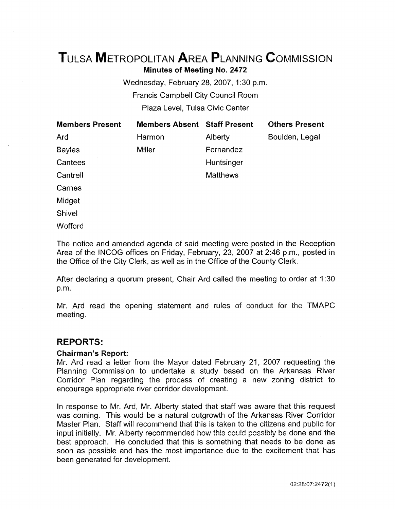# TuLsA METROPOLITAN AREA PLANNING CoMMISSION Minutes of Meeting No. 2472

Wednesday, February 28, 2007, 1:30 p.m. Francis Campbell City Council Room Plaza Level, Tulsa Civic Center

| <b>Members Present</b> | <b>Members Absent Staff Present</b> |                 | <b>Others Present</b> |
|------------------------|-------------------------------------|-----------------|-----------------------|
| Ard                    | Harmon                              | Alberty         | Boulden, Legal        |
| <b>Bayles</b>          | <b>Miller</b>                       | Fernandez       |                       |
| Cantees                |                                     | Huntsinger      |                       |
| Cantrell               |                                     | <b>Matthews</b> |                       |
| Carnes                 |                                     |                 |                       |
| Midget                 |                                     |                 |                       |
| <b>Shivel</b>          |                                     |                 |                       |

**Wofford** 

The notice and amended agenda of said meeting were posted in the Reception Area of the INCOG offices on Friday, February, 23, 2007 at 2:46 p.m., posted in the Office of the City Clerk, as well as in the Office of the County Clerk.

After declaring a quorum present, Chair Ard called the meeting to order at 1:30 p.m.

Mr. Ard read the opening statement and rules of conduct for the TMAPC meeting.

# REPORTS:

### Chairman's Report:

Mr. Ard read a letter from the Mayor dated February 21, 2007 requesting the Planning Commission to undertake a study based on the Arkansas River Corridor Plan regarding the process of creating a new zoning district to encourage appropriate river corridor development.

In response to Mr. Ard, Mr. Alberty stated that staff was aware that this request was coming. This would be a natural outgrowth of the Arkansas River Corridor Master Plan. Staff will recommend that this is taken to the citizens and public for input initially. Mr. Alberty recommended how this could possibly be done and the best approach. He concluded that this is something that needs to be done as soon as possible and has the most importance due to the excitement that has been generated for development.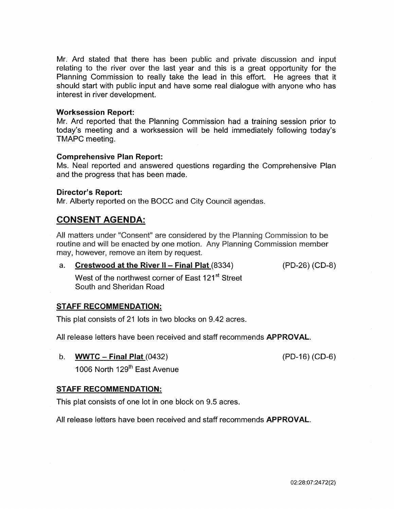Mr. Ard stated that there has been public and private discussion and input relating to the river over the last year and this is a great opportunity for the Planning Commission to really take the lead in this effort. He agrees that it should start with public input and have some real dialogue with anyone who has interest in river development.

### Worksession Report:

Mr. Ard reported that the Planning Commission had a training session prior to today's meeting and a worksession will be held immediately following today's TMAPC meeting.

### Comprehensive Plan Report:

Ms. Neal reported and answered questions regarding the Comprehensive Plan and the progress that has been made.

### Director's Report:

Mr. Alberty reported on the BOCC and City Council agendas.

# CONSENT AGENDA:

All matters under "Consent" are considered by the Planning Commission to be routine and will be enacted by one motion. Any Planning Commission member may, however, remove an item by request.

a. Crestwood at the River II - Final Plat (8334)

(PD-26) (CD-8)

West of the northwest corner of East 121<sup>st</sup> Street South and Sheridan Road

### STAFF RECOMMENDATION:

This plat consists of 21 lots in two blocks on 9.42 acres.

All release letters have been received and staff recommends **APPROVAL**.

b. **WWTC** – Final Plat  $(0432)$ 

(PD-16) (CD-6)

1006 North 129<sup>th</sup> East Avenue

### STAFF RECOMMENDATION:

This plat consists of one lot in one block on 9.5 acres.

All release letters have been received and staff recommends APPROVAL.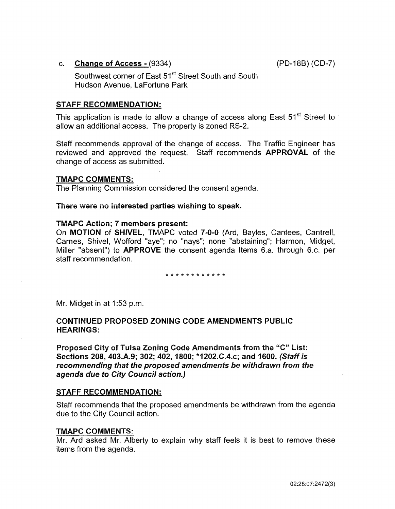### c. Change of Access - (9334)

(PD-188) (CD-7)

Southwest corner of East 51<sup>st</sup> Street South and South Hudson Avenue, LaFortune Park

### STAFF RECOMMENDATION:

This application is made to allow a change of access along East 51<sup>st</sup> Street to allow an additional access. The property is zoned RS-2.

Staff recommends approval of the change of access. The Traffic Engineer has reviewed and approved the request. Staff recommends **APPROVAL** of the change of access as submitted.

### TMAPC COMMENTS:

The Planning Commission considered the consent agenda.

### There were no interested parties wishing to speak.

#### TMAPC Action; 7 members present:

On MOTION of SHIVEL, TMAPC voted 7-0-0 (Ard, Bayles, Cantees, Cantrell, Carnes, Shive!, Wofford "aye"; no "nays"; none "abstaining"; Harmon, Midget, Miller "absent") to APPROVE the consent agenda Items 6.a. through 6.c. per staff recommendation.

#### \* \* \* \* \* \* \* \* \* \* \* \*

Mr. Midget in at 1:53 p.m.

## CONTINUED PROPOSED ZONING CODE AMENDMENTS PUBLIC HEARINGS:

Proposed City of Tulsa Zoning Code Amendments from the "C" List: Sections 208, 403.A.9; 302; 402, 1800; \*1202.C.4.c; and 1600. (Staff is recommending that the proposed amendments be withdrawn from the agenda due to City Council action.)

### STAFF RECOMMENDATION:

Staff recommends that the proposed amendments be withdrawn from the agenda due to the City Council action.

### TMAPC COMMENTS:

Mr. Ard asked Mr. Alberty to explain why staff feels it is best to remove these items from the agenda.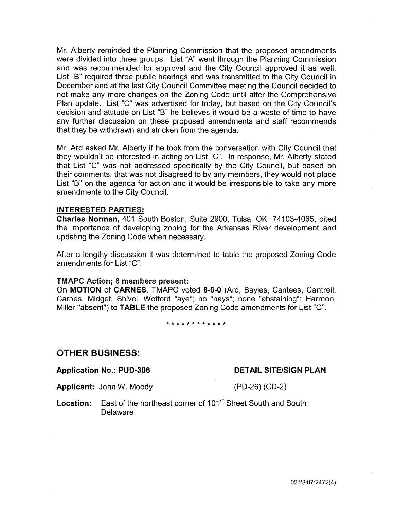Mr. Alberty reminded the Planning Commission that the proposed amendments were divided into three groups. List "A" went through the Planning Commission and was recommended for approval and the City Council approved it as well. List "8" required three public hearings and was transmitted to the City Council in December and at the last City Council Committee meeting the Council decided to not make any more changes on the Zoning Code until after the Comprehensive Plan update. List "C" was advertised for today, but based on the City Council's decision and attitude on List "8" he believes it would be a waste of time to have any further discussion on these proposed amendments and staff recommends that they be withdrawn and stricken from the agenda.

Mr. Ard asked Mr. Aiberty if he took from the conversation with City Councii that they wouldn't be interested in acting on List "C". In response, Mr. Alberty stated that List "C" was not addressed specifically by the City Council, but based on their comments, that was not disagreed to by any members, they would not place List "B" on the agenda for action and it would be irresponsible to take any more amendments to the City Council.

### INTERESTED PARTIES:

Charles Norman, 401 South Boston, Suite 2900, Tulsa, OK 7 4103-4065, cited the importance of developing zoning for the Arkansas River development and updating the Zoning Code when necessary.

After a lengthy discussion it was determined to table the proposed Zoning Code amendments for List "C".

### TMAPC Action; 8 members present:

On MOTION of CARNES, TMAPC voted 8-0-0 (Ard, Bayles, Cantees, Cantrell, Carnes, Midget, Shivel, Wofford "aye"; no "nays"; none "abstaining"; Harmon, Miller "absent") to TABLE the proposed Zoning Code amendments for List "C".

\*\*\*\*\*\*\*\*\*\*\*\*

# OTHER BUSINESS:

Application No.: PUD-306

DETAIL SITE/SIGN PLAN

Applicant: John W. Moody (PD-26) (CD-2)

**Location:** East of the northeast corner of 101<sup>st</sup> Street South and South Delaware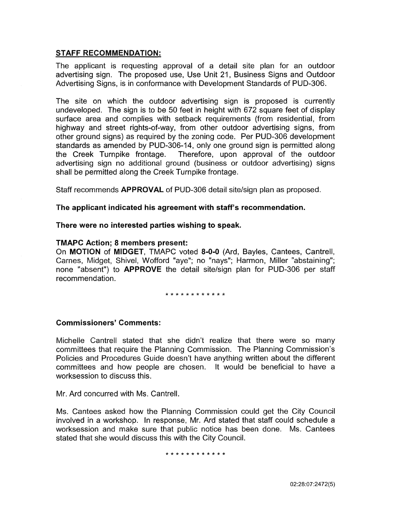### STAFF RECOMMENDATION:

The applicant is requesting approval of a detail site plan for an outdoor advertising sign. The proposed use, Use Unit 21, Business Signs and Outdoor Advertising Signs, is in conformance with Development Standards of PUD-306.

The site on which the outdoor advertising sign is proposed is currently undeveloped. The sign is to be 50 feet in height with 672 square feet of display surface area and complies with setback requirements (from residential, from highway and street rights-of-way, from other outdoor advertising signs, from other ground signs) as required by the zoning code. Per PUD-306 development standards as amended by PUD-306-14, only one ground sign is permitted along the Creek Turnpike frontage. Therefore, upon approval of the outdoor advertising sign no additional ground (business or outdoor advertising) signs shall be permitted along the Creek Turnpike frontage.

Staff recommends APPROVAL of PUD-306 detail site/sign plan as proposed.

### The applicant indicated his agreement with staff's recommendation.

### There were no interested parties wishing to speak.

### TMAPC Action; 8 members present:

On MOTION of MIDGET, TMAPC voted 8-0-0 (Ard, Bayles, Cantees, Cantrell, Carnes, Midget, Shive!, Wofford "aye"; no "nays"; Harmon, Miller "abstaining"; none "absent") to **APPROVE** the detail site/sign plan for PUD-306 per staff recommendation.

\*\*\*\*\*\*\*\*\*\*\*\*

### Commissioners' Comments:

Michelle Cantrell stated that she didn't realize that there were so many committees that require the Planning Commission. The Planning Commission's Policies and Procedures Guide doesn't have anything written about the different committees and how people are chosen. It would be beneficial to have a worksession to discuss this.

Mr. Ard concurred with Ms. Cantrell.

Ms. Cantees asked how the Planning Commission could get the City Council involved in a workshop. In response, Mr. Ard stated that staff could schedule a worksession and make sure that public notice has been done. Ms. Cantees stated that she would discuss this with the City Council.

\* \* \* \* \* \* \* \* \* \* \* \*